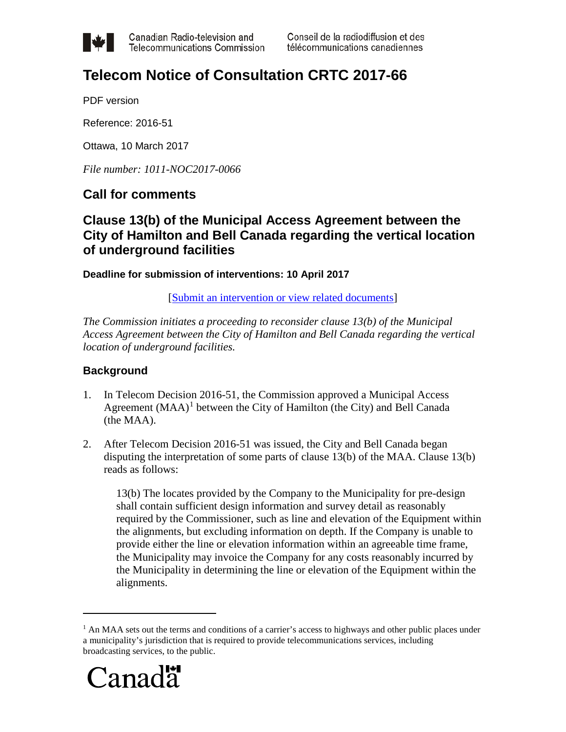

Canadian Radio-television and **Telecommunications Commission**  Conseil de la radiodiffusion et des télécommunications canadiennes

# **Telecom Notice of Consultation CRTC 2017-66**

PDF version

Reference: 2016-51

Ottawa, 10 March 2017

*File number: 1011-NOC2017-0066*

# **Call for comments**

# **Clause 13(b) of the Municipal Access Agreement between the City of Hamilton and Bell Canada regarding the vertical location of underground facilities**

**Deadline for submission of interventions: 10 April 2017**

[\[Submit an intervention or view related documents\]](https://services.crtc.gc.ca/pub/instances-proceedings/Default-Defaut.aspx?lang=eng&YA=2017&S=O&PA=a&PT=nc&PST=a#2017-66)

*The Commission initiates a proceeding to reconsider clause 13(b) of the Municipal Access Agreement between the City of Hamilton and Bell Canada regarding the vertical location of underground facilities.*

# **Background**

- 1. In Telecom Decision 2016-51, the Commission approved a Municipal Access Agreement  $(MAA)^1$  $(MAA)^1$  between the City of Hamilton (the City) and Bell Canada (the MAA).
- 2. After Telecom Decision 2016-51 was issued, the City and Bell Canada began disputing the interpretation of some parts of clause 13(b) of the MAA. Clause 13(b) reads as follows:

13(b) The locates provided by the Company to the Municipality for pre-design shall contain sufficient design information and survey detail as reasonably required by the Commissioner, such as line and elevation of the Equipment within the alignments, but excluding information on depth. If the Company is unable to provide either the line or elevation information within an agreeable time frame, the Municipality may invoice the Company for any costs reasonably incurred by the Municipality in determining the line or elevation of the Equipment within the alignments.

<span id="page-0-0"></span><sup>&</sup>lt;sup>1</sup> An MAA sets out the terms and conditions of a carrier's access to highways and other public places under a municipality's jurisdiction that is required to provide telecommunications services, including broadcasting services, to the public.



 $\overline{a}$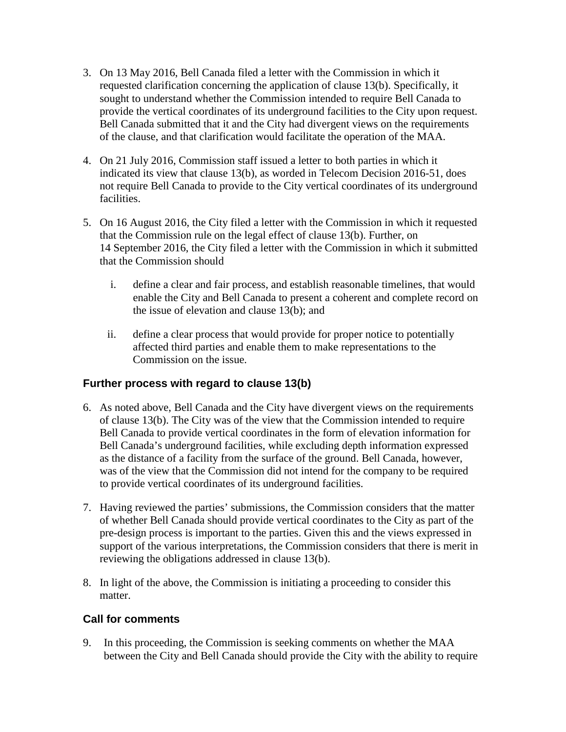- 3. On 13 May 2016, Bell Canada filed a letter with the Commission in which it requested clarification concerning the application of clause 13(b). Specifically, it sought to understand whether the Commission intended to require Bell Canada to provide the vertical coordinates of its underground facilities to the City upon request. Bell Canada submitted that it and the City had divergent views on the requirements of the clause, and that clarification would facilitate the operation of the MAA.
- 4. On 21 July 2016, Commission staff issued a letter to both parties in which it indicated its view that clause 13(b), as worded in Telecom Decision 2016-51, does not require Bell Canada to provide to the City vertical coordinates of its underground facilities.
- 5. On 16 August 2016, the City filed a letter with the Commission in which it requested that the Commission rule on the legal effect of clause 13(b). Further, on 14 September 2016, the City filed a letter with the Commission in which it submitted that the Commission should
	- i. define a clear and fair process, and establish reasonable timelines, that would enable the City and Bell Canada to present a coherent and complete record on the issue of elevation and clause 13(b); and
	- ii. define a clear process that would provide for proper notice to potentially affected third parties and enable them to make representations to the Commission on the issue.

# **Further process with regard to clause 13(b)**

- 6. As noted above, Bell Canada and the City have divergent views on the requirements of clause 13(b). The City was of the view that the Commission intended to require Bell Canada to provide vertical coordinates in the form of elevation information for Bell Canada's underground facilities, while excluding depth information expressed as the distance of a facility from the surface of the ground. Bell Canada, however, was of the view that the Commission did not intend for the company to be required to provide vertical coordinates of its underground facilities.
- 7. Having reviewed the parties' submissions, the Commission considers that the matter of whether Bell Canada should provide vertical coordinates to the City as part of the pre-design process is important to the parties. Given this and the views expressed in support of the various interpretations, the Commission considers that there is merit in reviewing the obligations addressed in clause 13(b).
- 8. In light of the above, the Commission is initiating a proceeding to consider this matter.

# **Call for comments**

9. In this proceeding, the Commission is seeking comments on whether the MAA between the City and Bell Canada should provide the City with the ability to require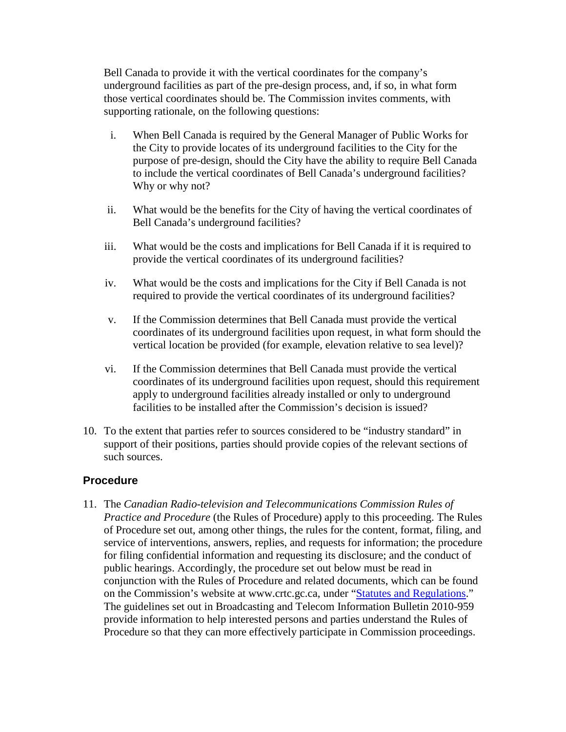Bell Canada to provide it with the vertical coordinates for the company's underground facilities as part of the pre-design process, and, if so, in what form those vertical coordinates should be. The Commission invites comments, with supporting rationale, on the following questions:

- i. When Bell Canada is required by the General Manager of Public Works for the City to provide locates of its underground facilities to the City for the purpose of pre-design, should the City have the ability to require Bell Canada to include the vertical coordinates of Bell Canada's underground facilities? Why or why not?
- ii. What would be the benefits for the City of having the vertical coordinates of Bell Canada's underground facilities?
- iii. What would be the costs and implications for Bell Canada if it is required to provide the vertical coordinates of its underground facilities?
- iv. What would be the costs and implications for the City if Bell Canada is not required to provide the vertical coordinates of its underground facilities?
- v. If the Commission determines that Bell Canada must provide the vertical coordinates of its underground facilities upon request, in what form should the vertical location be provided (for example, elevation relative to sea level)?
- vi. If the Commission determines that Bell Canada must provide the vertical coordinates of its underground facilities upon request, should this requirement apply to underground facilities already installed or only to underground facilities to be installed after the Commission's decision is issued?
- 10. To the extent that parties refer to sources considered to be "industry standard" in support of their positions, parties should provide copies of the relevant sections of such sources.

# **Procedure**

11. The *Canadian Radio-television and Telecommunications Commission Rules of Practice and Procedure* (the Rules of Procedure) apply to this proceeding. The Rules of Procedure set out, among other things, the rules for the content, format, filing, and service of interventions, answers, replies, and requests for information; the procedure for filing confidential information and requesting its disclosure; and the conduct of public hearings. Accordingly, the procedure set out below must be read in conjunction with the Rules of Procedure and related documents, which can be found on the Commission's website at www.crtc.gc.ca, under ["Statutes and Regulations.](http://crtc.gc.ca/eng/statutes-lois.htm)" The guidelines set out in Broadcasting and Telecom Information Bulletin 2010-959 provide information to help interested persons and parties understand the Rules of Procedure so that they can more effectively participate in Commission proceedings.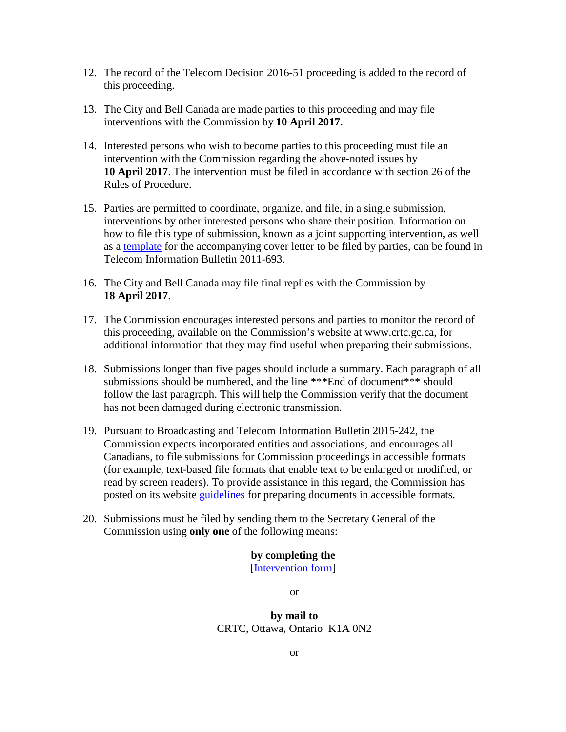- 12. The record of the Telecom Decision 2016-51 proceeding is added to the record of this proceeding.
- 13. The City and Bell Canada are made parties to this proceeding and may file interventions with the Commission by **10 April 2017**.
- 14. Interested persons who wish to become parties to this proceeding must file an intervention with the Commission regarding the above-noted issues by **10 April 2017**. The intervention must be filed in accordance with section 26 of the Rules of Procedure.
- 15. Parties are permitted to coordinate, organize, and file, in a single submission, interventions by other interested persons who share their position. Information on how to file this type of submission, known as a joint supporting intervention, as well as a [template](http://www.crtc.gc.ca/eng/file/jsit-ifct.htm) for the accompanying cover letter to be filed by parties, can be found in Telecom Information Bulletin 2011-693.
- 16. The City and Bell Canada may file final replies with the Commission by **18 April 2017**.
- 17. The Commission encourages interested persons and parties to monitor the record of this proceeding, available on the Commission's website at www.crtc.gc.ca, for additional information that they may find useful when preparing their submissions.
- 18. Submissions longer than five pages should include a summary. Each paragraph of all submissions should be numbered, and the line \*\*\* End of document \*\*\* should follow the last paragraph. This will help the Commission verify that the document has not been damaged during electronic transmission.
- 19. Pursuant to Broadcasting and Telecom Information Bulletin 2015-242, the Commission expects incorporated entities and associations, and encourages all Canadians, to file submissions for Commission proceedings in accessible formats (for example, text-based file formats that enable text to be enlarged or modified, or read by screen readers). To provide assistance in this regard, the Commission has posted on its website [guidelines](http://www.crtc.gc.ca/eng/archive/acces.htm) for preparing documents in accessible formats.
- 20. Submissions must be filed by sending them to the Secretary General of the Commission using **only one** of the following means:

#### **by completing the**

[\[Intervention form\]](https://services.crtc.gc.ca/pub/instances-proceedings/Default-Defaut.aspx?lang=eng&YA=2017&S=O&PA=a&PT=nc&PST=a#2017-66)

or

#### **by mail to** CRTC, Ottawa, Ontario K1A 0N2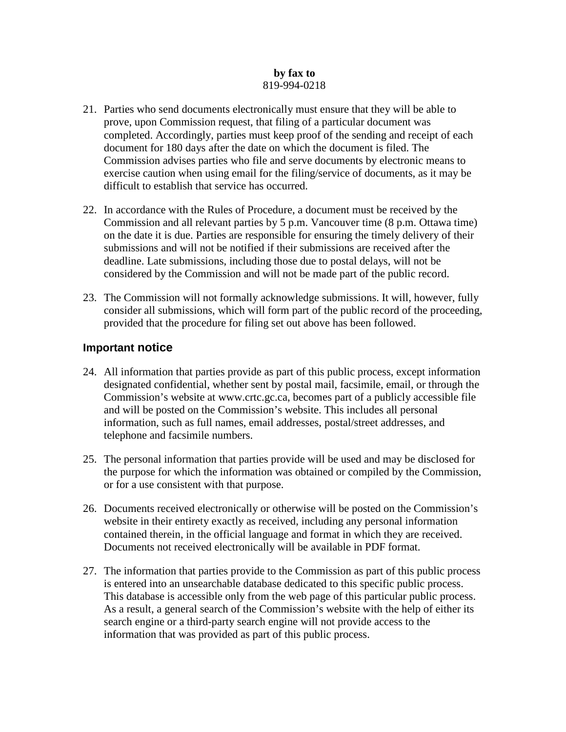#### **by fax to** 819-994-0218

- 21. Parties who send documents electronically must ensure that they will be able to prove, upon Commission request, that filing of a particular document was completed. Accordingly, parties must keep proof of the sending and receipt of each document for 180 days after the date on which the document is filed. The Commission advises parties who file and serve documents by electronic means to exercise caution when using email for the filing/service of documents, as it may be difficult to establish that service has occurred.
- 22. In accordance with the Rules of Procedure, a document must be received by the Commission and all relevant parties by 5 p.m. Vancouver time (8 p.m. Ottawa time) on the date it is due. Parties are responsible for ensuring the timely delivery of their submissions and will not be notified if their submissions are received after the deadline. Late submissions, including those due to postal delays, will not be considered by the Commission and will not be made part of the public record.
- 23. The Commission will not formally acknowledge submissions. It will, however, fully consider all submissions, which will form part of the public record of the proceeding, provided that the procedure for filing set out above has been followed.

#### **Important notice**

- 24. All information that parties provide as part of this public process, except information designated confidential, whether sent by postal mail, facsimile, email, or through the Commission's website at www.crtc.gc.ca, becomes part of a publicly accessible file and will be posted on the Commission's website. This includes all personal information, such as full names, email addresses, postal/street addresses, and telephone and facsimile numbers.
- 25. The personal information that parties provide will be used and may be disclosed for the purpose for which the information was obtained or compiled by the Commission, or for a use consistent with that purpose.
- 26. Documents received electronically or otherwise will be posted on the Commission's website in their entirety exactly as received, including any personal information contained therein, in the official language and format in which they are received. Documents not received electronically will be available in PDF format.
- 27. The information that parties provide to the Commission as part of this public process is entered into an unsearchable database dedicated to this specific public process. This database is accessible only from the web page of this particular public process. As a result, a general search of the Commission's website with the help of either its search engine or a third-party search engine will not provide access to the information that was provided as part of this public process.